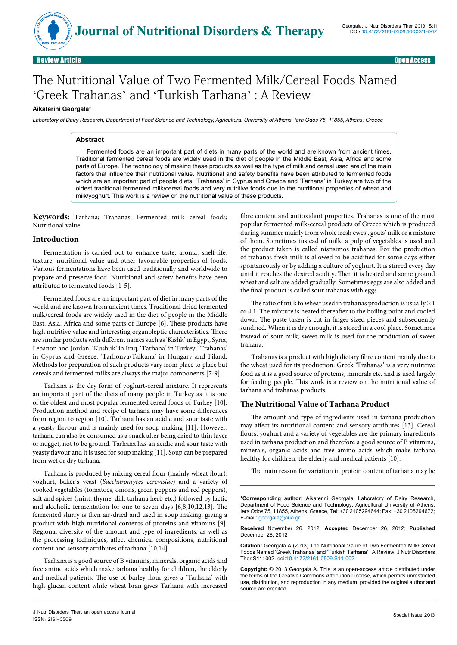

# The Nutritional Value of Two Fermented Milk/Cereal Foods Named 'Greek Trahanas' and 'Turkish Tarhana' : A Review

# **Aikaterini Georgala\***

Laboratory of Dairy Research, Department of Food Science and Technology, Agricultural University of Athens, Iera Odos 75, 11855, Athens, Greece

#### **Abstract**

Fermented foods are an important part of diets in many parts of the world and are known from ancient times. Traditional fermented cereal foods are widely used in the diet of people in the Middle East, Asia, Africa and some parts of Europe. The technology of making these products as well as the type of milk and cereal used are of the main factors that influence their nutritional value. Nutritional and safety benefits have been attributed to fermented foods which are an important part of people diets. 'Trahanas' in Cyprus and Greece and 'Tarhana' in Turkey are two of the oldest traditional fermented milk/cereal foods and very nutritive foods due to the nutritional properties of wheat and milk/yoghurt. This work is a review on the nutritional value of these products.

**Keywords:** Tarhana; Trahanas; Fermented milk cereal foods; Nutritional value

### **Introduction**

Fermentation is carried out to enhance taste, aroma, shelf-life, texture, nutritional value and other favourable properties of foods. Various fermentations have been used traditionally and worldwide to prepare and preserve food. Nutritional and safety benefits have been attributed to fermented foods [1-5].

Fermented foods are an important part of diet in many parts of the world and are known from ancient times. Traditional dried fermented milk/cereal foods are widely used in the diet of people in the Middle East, Asia, Africa and some parts of Europe [6]. These products have high nutritive value and interesting organoleptic characteristics. There are similar products with different names such as 'Kishk' in Egypt, Syria, Lebanon and Jordan, 'Kushuk' in Iraq, 'Tarhana' in Turkey, 'Trahanas' in Cyprus and Greece, 'Tarhonya/Talkuna' in Hungary and Filand. Methods for preparation of such products vary from place to place but cereals and fermented milks are always the major components [7-9].

Tarhana is the dry form of yoghurt-cereal mixture. It represents an important part of the diets of many people in Turkey as it is one of the oldest and most popular fermented cereal foods of Turkey [10]. Production method and recipe of tarhana may have some differences from region to region [10]. Tarhana has an acidic and sour taste with a yeasty flavour and is mainly used for soup making [11]. However, tarhana can also be consumed as a snack after being dried to thin layer or nugget, not to be ground. Tarhana has an acidic and sour taste with yeasty flavour and it is used for soup making [11]. Soup can be prepared from wet or dry tarhana.

Tarhana is produced by mixing cereal flour (mainly wheat flour), yoghurt, baker's yeast (*Saccharomyces cerevisiae*) and a variety of cooked vegetables (tomatoes, onions, green peppers and red peppers), salt and spices (mint, thyme, dill, tarhana herb etc.) followed by lactic and alcoholic fermentation for one to seven days [6,8,10,12,13]. The fermented slurry is then air-dried and used in soup making, giving a product with high nutritional contents of proteins and vitamins [9]. Regional diversity of the amount and type of ingredients, as well as the processing techniques, affect chemical compositions, nutritional content and sensory attributes of tarhana [10,14].

Tarhana is a good source of B vitamins, minerals, organic acids and free amino acids which make tarhana healthy for children, the elderly and medical patients. The use of barley flour gives a 'Tarhana' with high glucan content while wheat bran gives Tarhana with increased

fibre content and antioxidant properties. Trahanas is one of the most popular fermented milk-cereal products of Greece which is produced during summer mainly from whole fresh ewes', goats' milk or a mixture of them. Sometimes instead of milk, a pulp of vegetables is used and the product taken is called nistisimos trahanas. For the production of trahanas fresh milk is allowed to be acidified for some days either spontaneously or by adding a culture of yoghurt. It is stirred every day until it reaches the desired acidity. Then it is heated and some ground wheat and salt are added gradually. Sometimes eggs are also added and the final product is called sour trahanas with eggs.

The ratio of milk to wheat used in trahanas production is usually 3:1 or 4:1. The mixture is heated thereafter to the boiling point and cooled down. The paste taken is cut in finger sized pieces and subsequently sundried. When it is dry enough, it is stored in a cool place. Sometimes instead of sour milk, sweet milk is used for the production of sweet trahana.

Trahanas is a product with high dietary fibre content mainly due to the wheat used for its production. Greek 'Trahanas' is a very nutritive food as it is a good source of proteins, minerals etc. and is used largely for feeding people. This work is a review on the nutritional value of tarhana and trahanas products.

### **The Nutritional Value of Tarhana Product**

The amount and type of ingredients used in tarhana production may affect its nutritional content and sensory attributes [13]. Cereal flours, yoghurt and a variety of vegetables are the primary ingredients used in tarhana production and therefore a good source of B vitamins, minerals, organic acids and free amino acids which make tarhana healthy for children, the elderly and medical patients [10].

The main reason for variation in protein content of tarhana may be

**\*Corresponding author:** Aikaterini Georgala, Laboratory of Dairy Research, Department of Food Science and Technology, Agricultural University of Athens, Iera Odos 75, 11855, Athens, Greece, Tel: +30 2105294644; Fax: +30 2105294672; E-mail: georgala@aua.gr

**Received** November 26, 2012; **Accepted** December 26, 2012; **Published** December 28, 2012

**Citation:** Georgala A (2013) The Nutritional Value of Two Fermented Milk/Cereal Foods Named 'Greek Trahanas' and 'Turkish Tarhana' : A Review. J Nutr Disorders Ther S11: 002. doi:10.4172/2161-0509.S11-002

**Copyright:** © 2013 Georgala A. This is an open-access article distributed under the terms of the Creative Commons Attribution License, which permits unrestricted use, distribution, and reproduction in any medium, provided the original author and source are credited.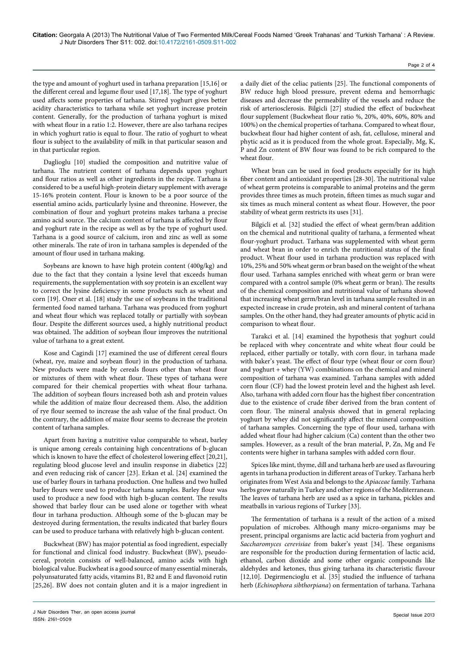Page 2 of 4

the type and amount of yoghurt used in tarhana preparation [15,16] or the different cereal and legume flour used [17,18]. The type of yoghurt used affects some properties of tarhana. Stirred yoghurt gives better acidity characteristics to tarhana while set yoghurt increase protein content. Generally, for the production of tarhana yoghurt is mixed with wheat flour in a ratio 1:2. However, there are also tarhana recipes in which yoghurt ratio is equal to flour. The ratio of yoghurt to wheat flour is subject to the availability of milk in that particular season and in that particular region.

Daglioglu [10] studied the composition and nutritive value of tarhana. The nutrient content of tarhana depends upon yoghurt and flour ratios as well as other ingredients in the recipe. Tarhana is considered to be a useful high-protein dietary supplement with average 15-16% protein content. Flour is known to be a poor source of the essential amino acids, particularly lysine and threonine. However, the combination of flour and yoghurt proteins makes tarhana a precise amino acid source. The calcium content of tarhana is affected by flour and yoghurt rate in the recipe as well as by the type of yoghurt used. Tarhana is a good source of calcium, iron and zinc as well as some other minerals. The rate of iron in tarhana samples is depended of the amount of flour used in tarhana making.

Soybeans are known to have high protein content (400g/kg) and due to the fact that they contain a lysine level that exceeds human requirements, the supplementation with soy protein is an excellent way to correct the lysine deficiency in some products such as wheat and corn [19]. Oner et al. [18] study the use of soybeans in the traditional fermented food named tarhana. Tarhana was produced from yoghurt and wheat flour which was replaced totally or partially with soybean flour. Despite the different sources used, a highly nutritional product was obtained. The addition of soybean flour improves the nutritional value of tarhana to a great extent.

Kose and Cagindi [17] examined the use of different cereal flours (wheat, rye, maize and soybean flour) in the production of tarhana. New products were made by cereals flours other than wheat flour or mixtures of them with wheat flour. These types of tarhana were compared for their chemical properties with wheat flour tarhana. The addition of soybean flours increased both ash and protein values while the addition of maize flour decreased them. Also, the addition of rye flour seemed to increase the ash value of the final product. On the contrary, the addition of maize flour seems to decrease the protein content of tarhana samples.

Apart from having a nutritive value comparable to wheat, barley is unique among cereals containing high concentrations of b-glucan which is known to have the effect of cholesterol lowering effect [20,21], regulating blood glucose level and insulin response in diabetics [22] and even reducing risk of cancer [23]. Erkan et al. [24] examined the use of barley flours in tarhana production. One hulless and two hulled barley flours were used to produce tarhana samples. Barley flour was used to produce a new food with high b-glucan content. The results showed that barley flour can be used alone or together with wheat flour in tarhana production. Although some of the b-glucan may be destroyed during fermentation, the results indicated that barley flours can be used to produce tarhana with relatively high b-glucan content.

Buckwheat (BW) has major potential as food ingredient, especially for functional and clinical food industry. Buckwheat (BW), pseudocereal, protein consists of well-balanced, amino acids with high biological value. Buckwheat is a good source of many essential minerals, polyunsaturated fatty acids, vitamins B1, B2 and E and flavonoid rutin [25,26]. BW does not contain gluten and it is a major ingredient in

a daily diet of the celiac patients [25]. The functional components of BW reduce high blood pressure, prevent edema and hemorrhagic diseases and decrease the permeability of the vessels and reduce the risk of arteriosclerosis. Bilgicli [27] studied the effect of buckwheat flour supplement (Buckwheat flour ratio %, 20%, 40%, 60%, 80% and 100%) on the chemical properties of tarhana. Compared to wheat flour, buckwheat flour had higher content of ash, fat, cellulose, mineral and phytic acid as it is produced from the whole groat. Especially, Mg, K, P and Zn content of BW flour was found to be rich compared to the wheat flour.

Wheat bran can be used in food products especially for its high fiber content and antioxidant properties [28-30]. The nutritional value of wheat germ proteins is comparable to animal proteins and the germ provides three times as much protein, fifteen times as much sugar and six times as much mineral content as wheat flour. However, the poor stability of wheat germ restricts its uses [31].

Bilgicli et al. [32] studied the effect of wheat germ/bran addition on the chemical and nutritional quality of tarhana, a fermented wheat flour-yoghurt product. Tarhana was supplemented with wheat germ and wheat bran in order to enrich the nutritional status of the final product. Wheat flour used in tarhana production was replaced with 10%, 25% and 50% wheat germ or bran based on the weight of the wheat flour used. Tarhana samples enriched with wheat germ or bran were compared with a control sample (0% wheat germ or bran). The results of the chemical composition and nutritional value of tarhana showed that increasing wheat germ/bran level in tarhana sample resulted in an expected increase in crude protein, ash and mineral content of tarhana samples. On the other hand, they had greater amounts of phytic acid in comparison to wheat flour.

Tarakci et al. [14] examined the hypothesis that yoghurt could be replaced with whey concentrate and white wheat flour could be replaced, either partially or totally, with corn flour, in tarhana made with baker's yeast. The effect of flour type (wheat flour or corn flour) and yoghurt + whey (YW) combinations on the chemical and mineral composition of tarhana was examined. Tarhana samples with added corn flour (CF) had the lowest protein level and the highest ash level. Also, tarhana with added corn flour has the highest fiber concentration due to the existence of crude fiber derived from the bran content of corn flour. The mineral analysis showed that in general replacing yoghurt by whey did not significantly affect the mineral composition of tarhana samples. Concerning the type of flour used, tarhana with added wheat flour had higher calcium (Ca) content than the other two samples. However, as a result of the bran material, P, Zn, Mg and Fe contents were higher in tarhana samples with added corn flour.

Spices like mint, thyme, dill and tarhana herb are used as flavouring agents in tarhana production in different areas of Turkey. Tarhana herb originates from West Asia and belongs to the *Apiaceae* family. Tarhana herbs grow naturally in Turkey and other regions of the Mediterranean. The leaves of tarhana herb are used as a spice in tarhana, pickles and meatballs in various regions of Turkey [33].

The fermentation of tarhana is a result of the action of a mixed population of microbes. Although many micro-organisms may be present, principal organisms are lactic acid bacteria from yoghurt and *Saccharomyces cerevisiae* from baker's yeast [34]. These organisms are responsible for the production during fermentation of lactic acid, ethanol, carbon dioxide and some other organic compounds like aldehydes and ketones, thus giving tarhana its characteristic flavour [12,10]. Degirmencioglu et al. [35] studied the influence of tarhana herb (*Echinophora sibthorpiana*) on fermentation of tarhana. Tarhana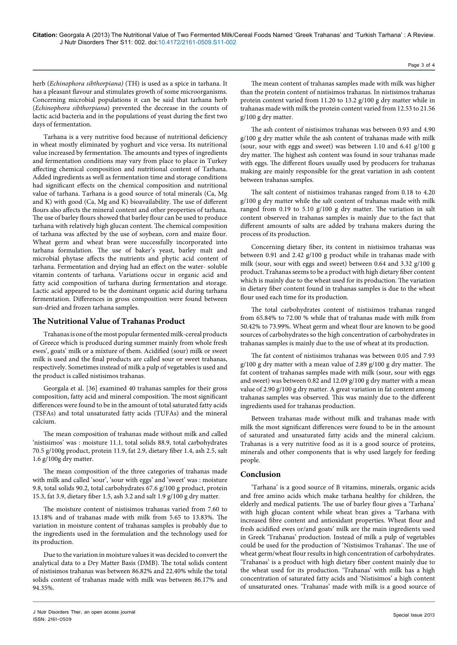herb (*Echinophora sibthorpiana)* (TH) is used as a spice in tarhana. It has a pleasant flavour and stimulates growth of some microorganisms. Concerning microbial populations it can be said that tarhana herb (*Echinophora sibthorpiana*) prevented the decrease in the counts of lactic acid bacteria and in the populations of yeast during the first two days of fermentation.

Tarhana is a very nutritive food because of nutritional deficiency in wheat mostly eliminated by yoghurt and vice versa. Its nutritional value increased by fermentation. The amounts and types of ingredients and fermentation conditions may vary from place to place in Turkey affecting chemical composition and nutritional content of Tarhana. Added ingredients as well as fermentation time and storage conditions had significant effects on the chemical composition and nutritional value of tarhana. Tarhana is a good source of total minerals (Ca, Mg and K) with good (Ca, Mg and K) bioavailability. The use of different flours also affects the mineral content and other properties of tarhana. The use of barley flours showed that barley flour can be used to produce tarhana with relatively high glucan content. The chemical composition of tarhana was affected by the use of soybean, corn and maize flour. Wheat germ and wheat bran were successfully incorporated into tarhana formulation. The use of baker's yeast, barley malt and microbial phytase affects the nutrients and phytic acid content of tarhana. Fermentation and drying had an effect on the water- soluble vitamin contents of tarhana. Variations occur in organic acid and fatty acid composition of tarhana during fermentation and storage. Lactic acid appeared to be the dominant organic acid during tarhana fermentation. Differences in gross composition were found between sun-dried and frozen tarhana samples.

## **The Nutritional Value of Trahanas Product**

Trahanas is one of the most popular fermented milk-cereal products of Greece which is produced during summer mainly from whole fresh ewes', goats' milk or a mixture of them. Acidified (sour) milk or sweet milk is used and the final products are called sour or sweet trahanas, respectively. Sometimes instead of milk a pulp of vegetables is used and the product is called nistisimos trahanas.

Georgala et al. [36] examined 40 trahanas samples for their gross composition, fatty acid and mineral composition. The most significant differences were found to be in the amount of total saturated fatty acids (TSFAs) and total unsaturated fatty acids (TUFAs) and the mineral calcium.

The mean composition of trahanas made without milk and called 'nistisimos' was : moisture 11.1, total solids 88.9, total carbohydrates 70.5 g/100g product, protein 11.9, fat 2.9, dietary fiber 1.4, ash 2.5, salt 1.6 g/100g dry matter.

The mean composition of the three categories of trahanas made with milk and called 'sour', 'sour with eggs' and 'sweet' was : moisture 9.8, total solids 90.2, total carbohydrates 67.6 g/100 g product, protein 15.3, fat 3.9, dietary fiber 1.5, ash 3.2 and salt 1.9 g/100 g dry matter.

The moisture content of nistisimos trahanas varied from 7.60 to 13.18% and of trahanas made with milk from 5.65 to 13.83%. The variation in moisture content of trahanas samples is probably due to the ingredients used in the formulation and the technology used for its production.

Due to the variation in moisture values it was decided to convert the analytical data to a Dry Matter Basis (DMB). The total solids content of nistisimos trahanas was between 86.82% and 22.40% while the total solids content of trahanas made with milk was between 86.17% and 94.35%.

The ash content of nistisimos trahanas was between 0.93 and 4.90 g/100 g dry matter while the ash content of trahanas made with milk (sour, sour with eggs and sweet) was between 1.10 and 6.41 g/100 g dry matter. The highest ash content was found in sour trahanas made with eggs. The different flours usually used by producers for trahanas making are mainly responsible for the great variation in ash content between trahanas samples.

The salt content of nistisimos trahanas ranged from 0.18 to 4.20 g/100 g dry matter while the salt content of trahanas made with milk ranged from 0.19 to 5.10 g/100 g dry matter. The variation in salt content observed in trahanas samples is mainly due to the fact that different amounts of salts are added by trahana makers during the process of its production.

Concerning dietary fiber, its content in nistisimos trahanas was between 0.91 and 2.42 g/100 g product while in trahanas made with milk (sour, sour with eggs and sweet) between 0.64 and 3.32 g/100 g product. Trahanas seems to be a product with high dietary fiber content which is mainly due to the wheat used for its production. The variation in dietary fiber content found in trahanas samples is due to the wheat flour used each time for its production.

The total carbohydrates content of nistisimos trahanas ranged from 65.84% to 72.00 % while that of trahanas made with milk from 50.42% to 73.99%. Wheat germ and wheat flour are known to be good sources of carbohydrates so the high concentration of carbohydrates in trahanas samples is mainly due to the use of wheat at its production.

The fat content of nistisimos trahanas was between 0.05 and 7.93 g/100 g dry matter with a mean value of 2.89 g/100 g dry matter. The fat content of trahanas samples made with milk (sour, sour with eggs and sweet) was between 0.82 and 12.09 g/100 g dry matter with a mean value of 2.90 g/100 g dry matter. A great variation in fat content among trahanas samples was observed. This was mainly due to the different ingredients used for trahanas production.

Between trahanas made without milk and trahanas made with milk the most significant differences were found to be in the amount of saturated and unsaturated fatty acids and the mineral calcium. Trahanas is a very nutritive food as it is a good source of proteins, minerals and other components that is why used largely for feeding people.

### **Conclusion**

'Tarhana' is a good source of B vitamins, minerals, organic acids and free amino acids which make tarhana healthy for children, the elderly and medical patients. The use of barley flour gives a 'Tarhana' with high glucan content while wheat bran gives a 'Tarhana with increased fibre content and antioxidant properties. Wheat flour and fresh acidified ewes or/and goats' milk are the main ingredients used in Greek 'Trahanas' production. Instead of milk a pulp of vegetables could be used for the production of 'Nistisimos Trahanas'. The use of wheat germ/wheat flour results in high concentration of carbohydrates. 'Trahanas' is a product with high dietary fiber content mainly due to the wheat used for its production. 'Trahanas' with milk has a high concentration of saturated fatty acids and 'Nistisimos' a high content of unsaturated ones. 'Trahanas' made with milk is a good source of